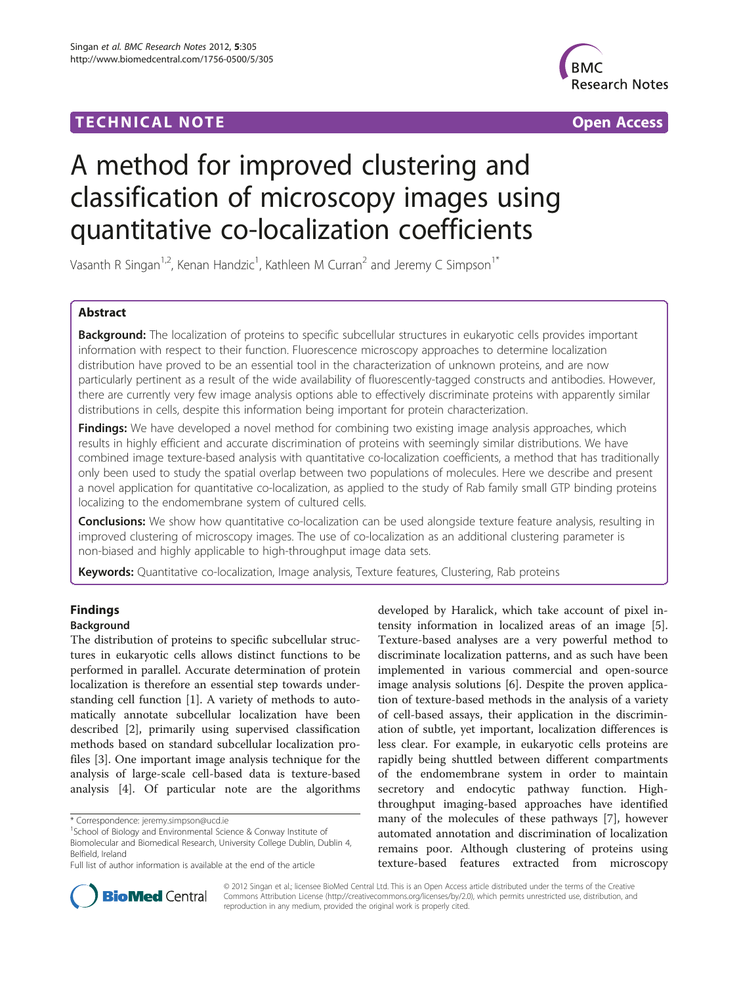# **TECHNICAL NOTE TECHNICAL NOTE**



# A method for improved clustering and classification of microscopy images using quantitative co-localization coefficients

Vasanth R Singan<sup>1,2</sup>, Kenan Handzic<sup>1</sup>, Kathleen M Curran<sup>2</sup> and Jeremy C Simpson<sup>1\*</sup>

# Abstract

Background: The localization of proteins to specific subcellular structures in eukaryotic cells provides important information with respect to their function. Fluorescence microscopy approaches to determine localization distribution have proved to be an essential tool in the characterization of unknown proteins, and are now particularly pertinent as a result of the wide availability of fluorescently-tagged constructs and antibodies. However, there are currently very few image analysis options able to effectively discriminate proteins with apparently similar distributions in cells, despite this information being important for protein characterization.

**Findings:** We have developed a novel method for combining two existing image analysis approaches, which results in highly efficient and accurate discrimination of proteins with seemingly similar distributions. We have combined image texture-based analysis with quantitative co-localization coefficients, a method that has traditionally only been used to study the spatial overlap between two populations of molecules. Here we describe and present a novel application for quantitative co-localization, as applied to the study of Rab family small GTP binding proteins localizing to the endomembrane system of cultured cells.

**Conclusions:** We show how quantitative co-localization can be used alongside texture feature analysis, resulting in improved clustering of microscopy images. The use of co-localization as an additional clustering parameter is non-biased and highly applicable to high-throughput image data sets.

Keywords: Quantitative co-localization, Image analysis, Texture features, Clustering, Rab proteins

# Findings

# Background

The distribution of proteins to specific subcellular structures in eukaryotic cells allows distinct functions to be performed in parallel. Accurate determination of protein localization is therefore an essential step towards understanding cell function [[1\]](#page-4-0). A variety of methods to automatically annotate subcellular localization have been described [\[2\]](#page-4-0), primarily using supervised classification methods based on standard subcellular localization profiles [\[3](#page-4-0)]. One important image analysis technique for the analysis of large-scale cell-based data is texture-based analysis [[4\]](#page-4-0). Of particular note are the algorithms

developed by Haralick, which take account of pixel intensity information in localized areas of an image [\[5](#page-4-0)]. Texture-based analyses are a very powerful method to discriminate localization patterns, and as such have been implemented in various commercial and open-source image analysis solutions [\[6](#page-4-0)]. Despite the proven application of texture-based methods in the analysis of a variety of cell-based assays, their application in the discrimination of subtle, yet important, localization differences is less clear. For example, in eukaryotic cells proteins are rapidly being shuttled between different compartments of the endomembrane system in order to maintain secretory and endocytic pathway function. Highthroughput imaging-based approaches have identified many of the molecules of these pathways [[7](#page-4-0)], however automated annotation and discrimination of localization remains poor. Although clustering of proteins using texture-based features extracted from microscopy



© 2012 Singan et al.; licensee BioMed Central Ltd. This is an Open Access article distributed under the terms of the Creative Commons Attribution License [\(http://creativecommons.org/licenses/by/2.0\)](http://creativecommons.org/licenses/by/2.0), which permits unrestricted use, distribution, and reproduction in any medium, provided the original work is properly cited.

<sup>\*</sup> Correspondence: [jeremy.simpson@ucd.ie](mailto:jeremy.simpson@ucd.ie) <sup>1</sup>

<sup>&</sup>lt;sup>1</sup>School of Biology and Environmental Science & Conway Institute of Biomolecular and Biomedical Research, University College Dublin, Dublin 4, Belfield, Ireland

Full list of author information is available at the end of the article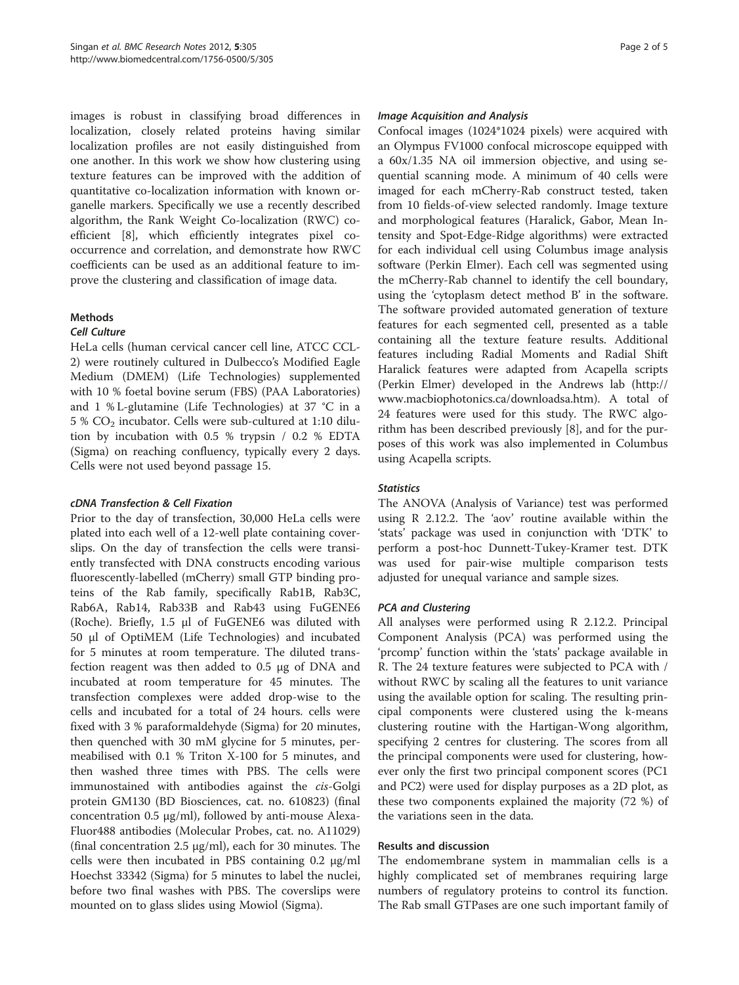images is robust in classifying broad differences in localization, closely related proteins having similar localization profiles are not easily distinguished from one another. In this work we show how clustering using texture features can be improved with the addition of quantitative co-localization information with known organelle markers. Specifically we use a recently described algorithm, the Rank Weight Co-localization (RWC) coefficient [\[8\]](#page-4-0), which efficiently integrates pixel cooccurrence and correlation, and demonstrate how RWC coefficients can be used as an additional feature to improve the clustering and classification of image data.

# **Methods**

#### Cell Culture

HeLa cells (human cervical cancer cell line, ATCC CCL-2) were routinely cultured in Dulbecco's Modified Eagle Medium (DMEM) (Life Technologies) supplemented with 10 % foetal bovine serum (FBS) (PAA Laboratories) and 1 % L-glutamine (Life Technologies) at 37 °C in a 5 %  $CO<sub>2</sub>$  incubator. Cells were sub-cultured at 1:10 dilution by incubation with 0.5 % trypsin / 0.2 % EDTA (Sigma) on reaching confluency, typically every 2 days. Cells were not used beyond passage 15.

# cDNA Transfection & Cell Fixation

Prior to the day of transfection, 30,000 HeLa cells were plated into each well of a 12-well plate containing coverslips. On the day of transfection the cells were transiently transfected with DNA constructs encoding various fluorescently-labelled (mCherry) small GTP binding proteins of the Rab family, specifically Rab1B, Rab3C, Rab6A, Rab14, Rab33B and Rab43 using FuGENE6 (Roche). Briefly, 1.5 μl of FuGENE6 was diluted with 50 μl of OptiMEM (Life Technologies) and incubated for 5 minutes at room temperature. The diluted transfection reagent was then added to 0.5 μg of DNA and incubated at room temperature for 45 minutes. The transfection complexes were added drop-wise to the cells and incubated for a total of 24 hours. cells were fixed with 3 % paraformaldehyde (Sigma) for 20 minutes, then quenched with 30 mM glycine for 5 minutes, permeabilised with 0.1 % Triton X-100 for 5 minutes, and then washed three times with PBS. The cells were immunostained with antibodies against the *cis-*Golgi protein GM130 (BD Biosciences, cat. no. 610823) (final concentration 0.5 μg/ml), followed by anti-mouse Alexa-Fluor488 antibodies (Molecular Probes, cat. no. A11029) (final concentration 2.5 μg/ml), each for 30 minutes. The cells were then incubated in PBS containing 0.2 μg/ml Hoechst 33342 (Sigma) for 5 minutes to label the nuclei, before two final washes with PBS. The coverslips were mounted on to glass slides using Mowiol (Sigma).

#### Image Acquisition and Analysis

Confocal images (1024\*1024 pixels) were acquired with an Olympus FV1000 confocal microscope equipped with a 60x/1.35 NA oil immersion objective, and using sequential scanning mode. A minimum of 40 cells were imaged for each mCherry-Rab construct tested, taken from 10 fields-of-view selected randomly. Image texture and morphological features (Haralick, Gabor, Mean Intensity and Spot-Edge-Ridge algorithms) were extracted for each individual cell using Columbus image analysis software (Perkin Elmer). Each cell was segmented using the mCherry-Rab channel to identify the cell boundary, using the 'cytoplasm detect method B' in the software. The software provided automated generation of texture features for each segmented cell, presented as a table containing all the texture feature results. Additional features including Radial Moments and Radial Shift Haralick features were adapted from Acapella scripts (Perkin Elmer) developed in the Andrews lab [\(http://](http://www.macbiophotonics.ca/downloadsa.htm) [www.macbiophotonics.ca/downloadsa.htm\)](http://www.macbiophotonics.ca/downloadsa.htm). A total of 24 features were used for this study. The RWC algorithm has been described previously [\[8](#page-4-0)], and for the purposes of this work was also implemented in Columbus using Acapella scripts.

# **Statistics**

The ANOVA (Analysis of Variance) test was performed using R 2.12.2. The 'aov' routine available within the 'stats' package was used in conjunction with 'DTK' to perform a post-hoc Dunnett-Tukey-Kramer test. DTK was used for pair-wise multiple comparison tests adjusted for unequal variance and sample sizes.

# PCA and Clustering

All analyses were performed using R 2.12.2. Principal Component Analysis (PCA) was performed using the 'prcomp' function within the 'stats' package available in R. The 24 texture features were subjected to PCA with / without RWC by scaling all the features to unit variance using the available option for scaling. The resulting principal components were clustered using the k-means clustering routine with the Hartigan-Wong algorithm, specifying 2 centres for clustering. The scores from all the principal components were used for clustering, however only the first two principal component scores (PC1 and PC2) were used for display purposes as a 2D plot, as these two components explained the majority (72 %) of the variations seen in the data.

#### Results and discussion

The endomembrane system in mammalian cells is a highly complicated set of membranes requiring large numbers of regulatory proteins to control its function. The Rab small GTPases are one such important family of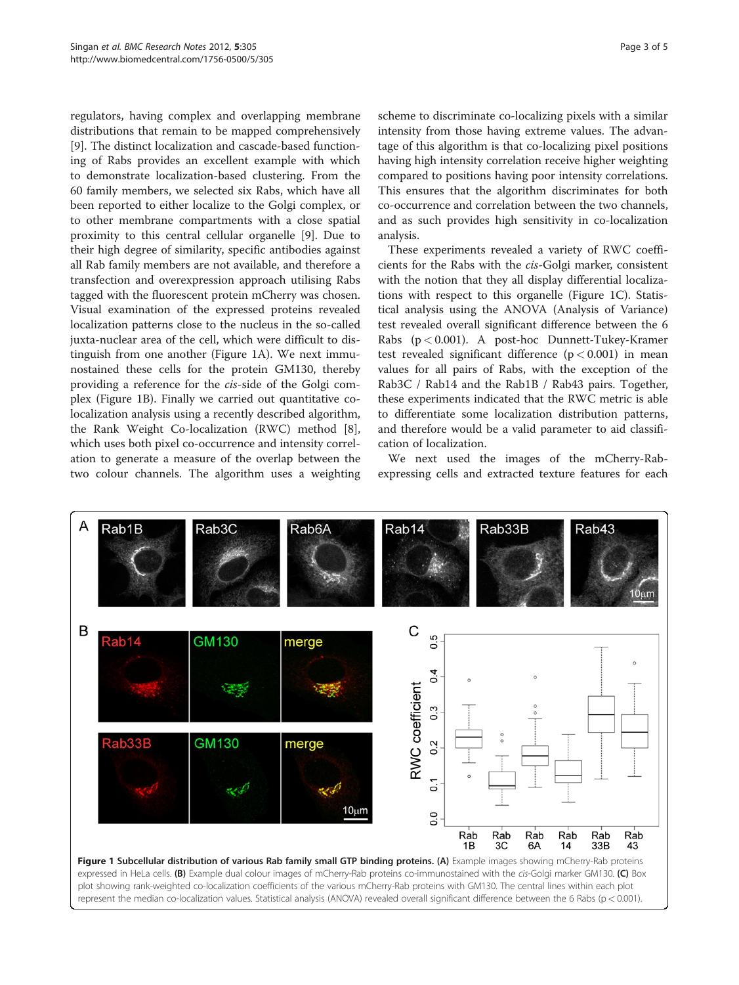<span id="page-2-0"></span>regulators, having complex and overlapping membrane distributions that remain to be mapped comprehensively [[9\]](#page-4-0). The distinct localization and cascade-based functioning of Rabs provides an excellent example with which to demonstrate localization-based clustering. From the 60 family members, we selected six Rabs, which have all been reported to either localize to the Golgi complex, or to other membrane compartments with a close spatial proximity to this central cellular organelle [[9\]](#page-4-0). Due to their high degree of similarity, specific antibodies against all Rab family members are not available, and therefore a transfection and overexpression approach utilising Rabs tagged with the fluorescent protein mCherry was chosen. Visual examination of the expressed proteins revealed localization patterns close to the nucleus in the so-called juxta-nuclear area of the cell, which were difficult to distinguish from one another (Figure 1A). We next immunostained these cells for the protein GM130, thereby providing a reference for the cis-side of the Golgi complex (Figure 1B). Finally we carried out quantitative colocalization analysis using a recently described algorithm, the Rank Weight Co-localization (RWC) method [\[8](#page-4-0)], which uses both pixel co-occurrence and intensity correlation to generate a measure of the overlap between the two colour channels. The algorithm uses a weighting

scheme to discriminate co-localizing pixels with a similar intensity from those having extreme values. The advantage of this algorithm is that co-localizing pixel positions having high intensity correlation receive higher weighting compared to positions having poor intensity correlations. This ensures that the algorithm discriminates for both co-occurrence and correlation between the two channels, and as such provides high sensitivity in co-localization analysis.

These experiments revealed a variety of RWC coefficients for the Rabs with the cis-Golgi marker, consistent with the notion that they all display differential localizations with respect to this organelle (Figure 1C). Statistical analysis using the ANOVA (Analysis of Variance) test revealed overall significant difference between the 6 Rabs (p < 0.001). A post-hoc Dunnett-Tukey-Kramer test revealed significant difference  $(p < 0.001)$  in mean values for all pairs of Rabs, with the exception of the Rab3C / Rab14 and the Rab1B / Rab43 pairs. Together, these experiments indicated that the RWC metric is able to differentiate some localization distribution patterns, and therefore would be a valid parameter to aid classification of localization.

We next used the images of the mCherry-Rabexpressing cells and extracted texture features for each

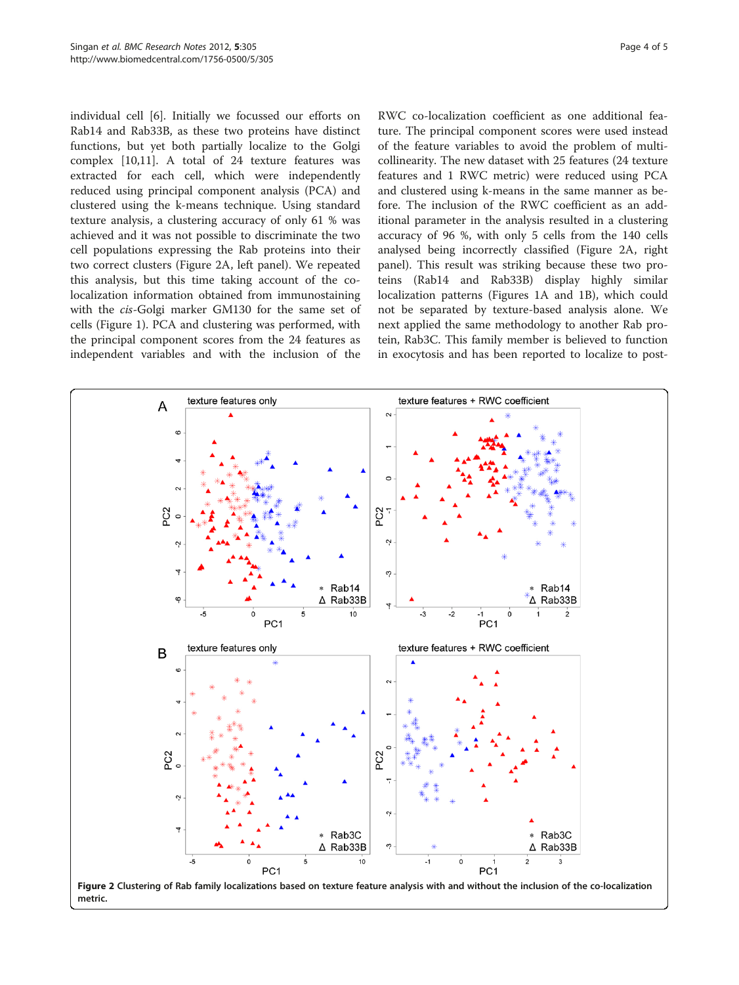<span id="page-3-0"></span>individual cell [[6\]](#page-4-0). Initially we focussed our efforts on Rab14 and Rab33B, as these two proteins have distinct functions, but yet both partially localize to the Golgi complex [[10,11\]](#page-4-0). A total of 24 texture features was extracted for each cell, which were independently reduced using principal component analysis (PCA) and clustered using the k-means technique. Using standard texture analysis, a clustering accuracy of only 61 % was achieved and it was not possible to discriminate the two cell populations expressing the Rab proteins into their two correct clusters (Figure 2A, left panel). We repeated this analysis, but this time taking account of the colocalization information obtained from immunostaining with the cis-Golgi marker GM130 for the same set of cells (Figure [1](#page-2-0)). PCA and clustering was performed, with the principal component scores from the 24 features as independent variables and with the inclusion of the

RWC co-localization coefficient as one additional feature. The principal component scores were used instead of the feature variables to avoid the problem of multicollinearity. The new dataset with 25 features (24 texture features and 1 RWC metric) were reduced using PCA and clustered using k-means in the same manner as before. The inclusion of the RWC coefficient as an additional parameter in the analysis resulted in a clustering accuracy of 96 %, with only 5 cells from the 140 cells analysed being incorrectly classified (Figure 2A, right panel). This result was striking because these two proteins (Rab14 and Rab33B) display highly similar localization patterns (Figures [1A](#page-2-0) and [1B](#page-2-0)), which could not be separated by texture-based analysis alone. We next applied the same methodology to another Rab protein, Rab3C. This family member is believed to function in exocytosis and has been reported to localize to post-